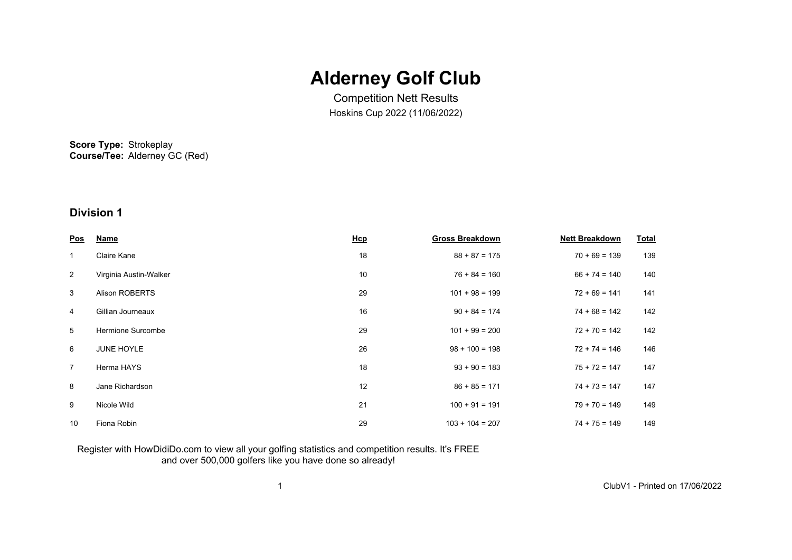# **Alderney Golf Club**

Competition Nett Results Hoskins Cup 2022 (11/06/2022)

**Score Type:** Strokeplay **Course/Tee:** Alderney GC (Red)

# **Division 1**

| <u>Pos</u>     | <b>Name</b>            | <u>Hcp</u> | <b>Gross Breakdown</b> | <b>Nett Breakdown</b> | <b>Total</b> |
|----------------|------------------------|------------|------------------------|-----------------------|--------------|
| $\mathbf{1}$   | Claire Kane            | 18         | $88 + 87 = 175$        | $70 + 69 = 139$       | 139          |
| $\overline{2}$ | Virginia Austin-Walker | 10         | $76 + 84 = 160$        | $66 + 74 = 140$       | 140          |
| 3              | <b>Alison ROBERTS</b>  | 29         | $101 + 98 = 199$       | $72 + 69 = 141$       | 141          |
| 4              | Gillian Journeaux      | 16         | $90 + 84 = 174$        | $74 + 68 = 142$       | 142          |
| 5              | Hermione Surcombe      | 29         | $101 + 99 = 200$       | $72 + 70 = 142$       | 142          |
| 6              | <b>JUNE HOYLE</b>      | 26         | $98 + 100 = 198$       | $72 + 74 = 146$       | 146          |
| $\overline{7}$ | Herma HAYS             | 18         | $93 + 90 = 183$        | $75 + 72 = 147$       | 147          |
| 8              | Jane Richardson        | 12         | $86 + 85 = 171$        | $74 + 73 = 147$       | 147          |
| 9              | Nicole Wild            | 21         | $100 + 91 = 191$       | $79 + 70 = 149$       | 149          |
| 10             | Fiona Robin            | 29         | $103 + 104 = 207$      | $74 + 75 = 149$       | 149          |

### Register with HowDidiDo.com to view all your golfing statistics and competition results. It's FREE and over 500,000 golfers like you have done so already!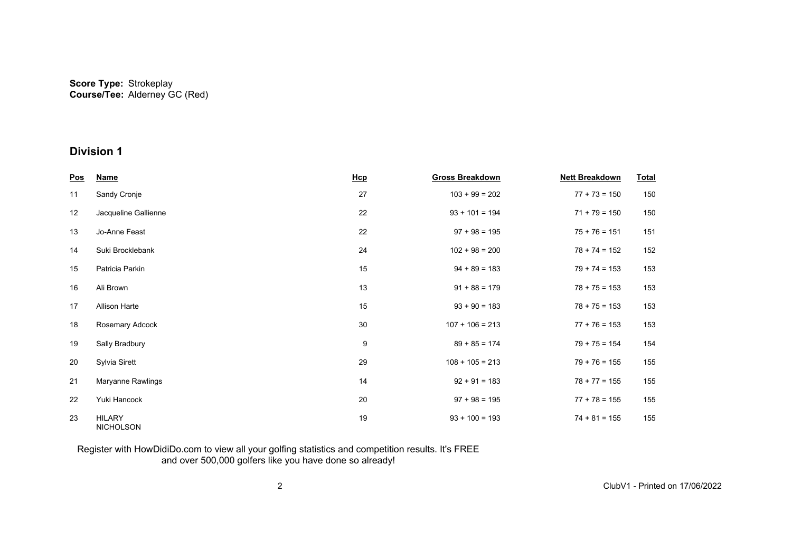## **Division 1**

| <u>Pos</u> | <b>Name</b>                       | Hcp | <b>Gross Breakdown</b> | <b>Nett Breakdown</b> | <b>Total</b> |
|------------|-----------------------------------|-----|------------------------|-----------------------|--------------|
| 11         | Sandy Cronje                      | 27  | $103 + 99 = 202$       | $77 + 73 = 150$       | 150          |
| 12         | Jacqueline Gallienne              | 22  | $93 + 101 = 194$       | $71 + 79 = 150$       | 150          |
| 13         | Jo-Anne Feast                     | 22  | $97 + 98 = 195$        | $75 + 76 = 151$       | 151          |
| 14         | Suki Brocklebank                  | 24  | $102 + 98 = 200$       | $78 + 74 = 152$       | 152          |
| 15         | Patricia Parkin                   | 15  | $94 + 89 = 183$        | $79 + 74 = 153$       | 153          |
| 16         | Ali Brown                         | 13  | $91 + 88 = 179$        | $78 + 75 = 153$       | 153          |
| 17         | Allison Harte                     | 15  | $93 + 90 = 183$        | $78 + 75 = 153$       | 153          |
| 18         | Rosemary Adcock                   | 30  | $107 + 106 = 213$      | $77 + 76 = 153$       | 153          |
| 19         | Sally Bradbury                    | 9   | $89 + 85 = 174$        | $79 + 75 = 154$       | 154          |
| 20         | Sylvia Sirett                     | 29  | $108 + 105 = 213$      | $79 + 76 = 155$       | 155          |
| 21         | Maryanne Rawlings                 | 14  | $92 + 91 = 183$        | $78 + 77 = 155$       | 155          |
| 22         | Yuki Hancock                      | 20  | $97 + 98 = 195$        | $77 + 78 = 155$       | 155          |
| 23         | <b>HILARY</b><br><b>NICHOLSON</b> | 19  | $93 + 100 = 193$       | $74 + 81 = 155$       | 155          |

### Register with HowDidiDo.com to view all your golfing statistics and competition results. It's FREE and over 500,000 golfers like you have done so already!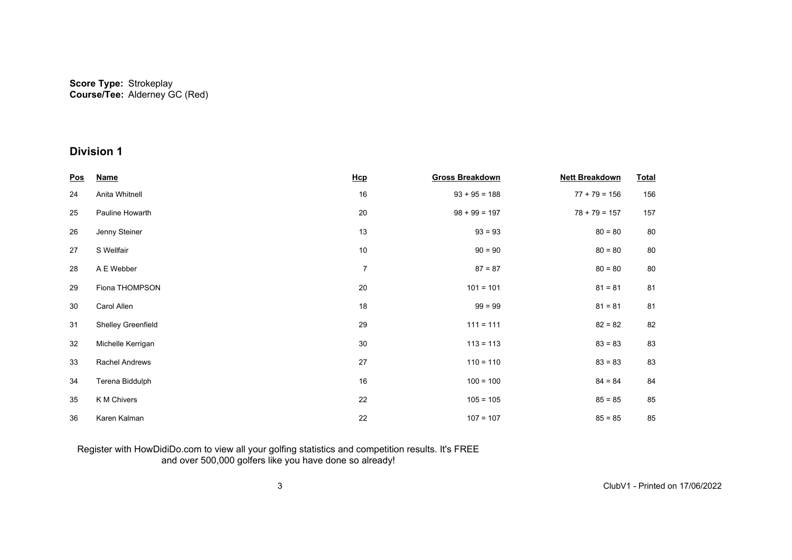# **Division 1**

| <u>Pos</u> | <b>Name</b>        | Hcp            | <b>Gross Breakdown</b> | <b>Nett Breakdown</b> | <b>Total</b> |
|------------|--------------------|----------------|------------------------|-----------------------|--------------|
| 24         | Anita Whitnell     | 16             | $93 + 95 = 188$        | $77 + 79 = 156$       | 156          |
| 25         | Pauline Howarth    | 20             | $98 + 99 = 197$        | $78 + 79 = 157$       | 157          |
| 26         | Jenny Steiner      | 13             | $93 = 93$              | $80 = 80$             | 80           |
| 27         | S Wellfair         | 10             | $90 = 90$              | $80 = 80$             | 80           |
| 28         | A E Webber         | $\overline{7}$ | $87 = 87$              | $80 = 80$             | 80           |
| 29         | Fiona THOMPSON     | 20             | $101 = 101$            | $81 = 81$             | 81           |
| 30         | Carol Allen        | 18             | $99 = 99$              | $81 = 81$             | 81           |
| 31         | Shelley Greenfield | 29             | $111 = 111$            | $82 = 82$             | 82           |
| 32         | Michelle Kerrigan  | 30             | $113 = 113$            | $83 = 83$             | 83           |
| 33         | Rachel Andrews     | 27             | $110 = 110$            | $83 = 83$             | 83           |
| 34         | Terena Biddulph    | 16             | $100 = 100$            | $84 = 84$             | 84           |
| 35         | K M Chivers        | 22             | $105 = 105$            | $85 = 85$             | 85           |
| 36         | Karen Kalman       | 22             | $107 = 107$            | $85 = 85$             | 85           |

### Register with HowDidiDo.com to view all your golfing statistics and competition results. It's FREE and over 500,000 golfers like you have done so already!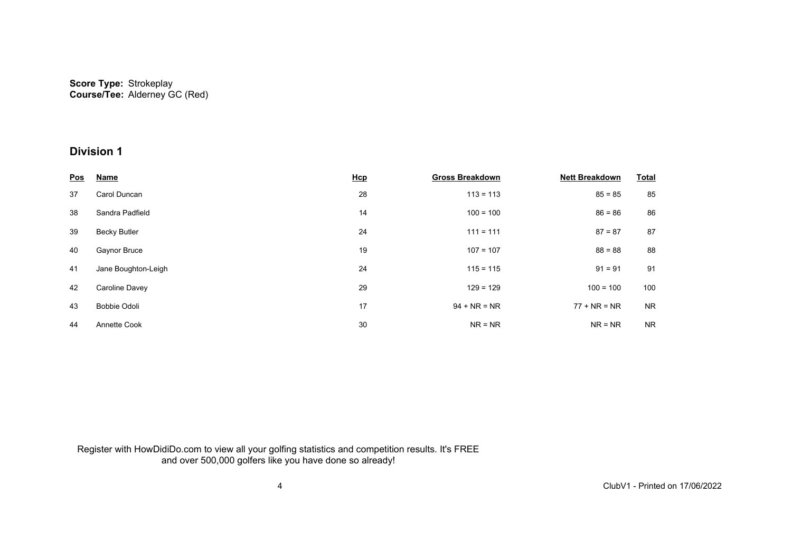# **Division 1**

| <u>Pos</u> | <b>Name</b>         | Hcp | <b>Gross Breakdown</b> | <b>Nett Breakdown</b> | <b>Total</b> |
|------------|---------------------|-----|------------------------|-----------------------|--------------|
| 37         | Carol Duncan        | 28  | $113 = 113$            | $85 = 85$             | 85           |
| 38         | Sandra Padfield     | 14  | $100 = 100$            | $86 = 86$             | 86           |
| 39         | <b>Becky Butler</b> | 24  | $111 = 111$            | $87 = 87$             | 87           |
| 40         | Gaynor Bruce        | 19  | $107 = 107$            | $88 = 88$             | 88           |
| 41         | Jane Boughton-Leigh | 24  | $115 = 115$            | $91 = 91$             | 91           |
| 42         | Caroline Davey      | 29  | $129 = 129$            | $100 = 100$           | 100          |
| 43         | Bobbie Odoli        | 17  | $94 + NR = NR$         | $77 + NR = NR$        | <b>NR</b>    |
| 44         | Annette Cook        | 30  | $NR = NR$              | $NR = NR$             | <b>NR</b>    |

Register with HowDidiDo.com to view all your golfing statistics and competition results. It's FREE and over 500,000 golfers like you have done so already!